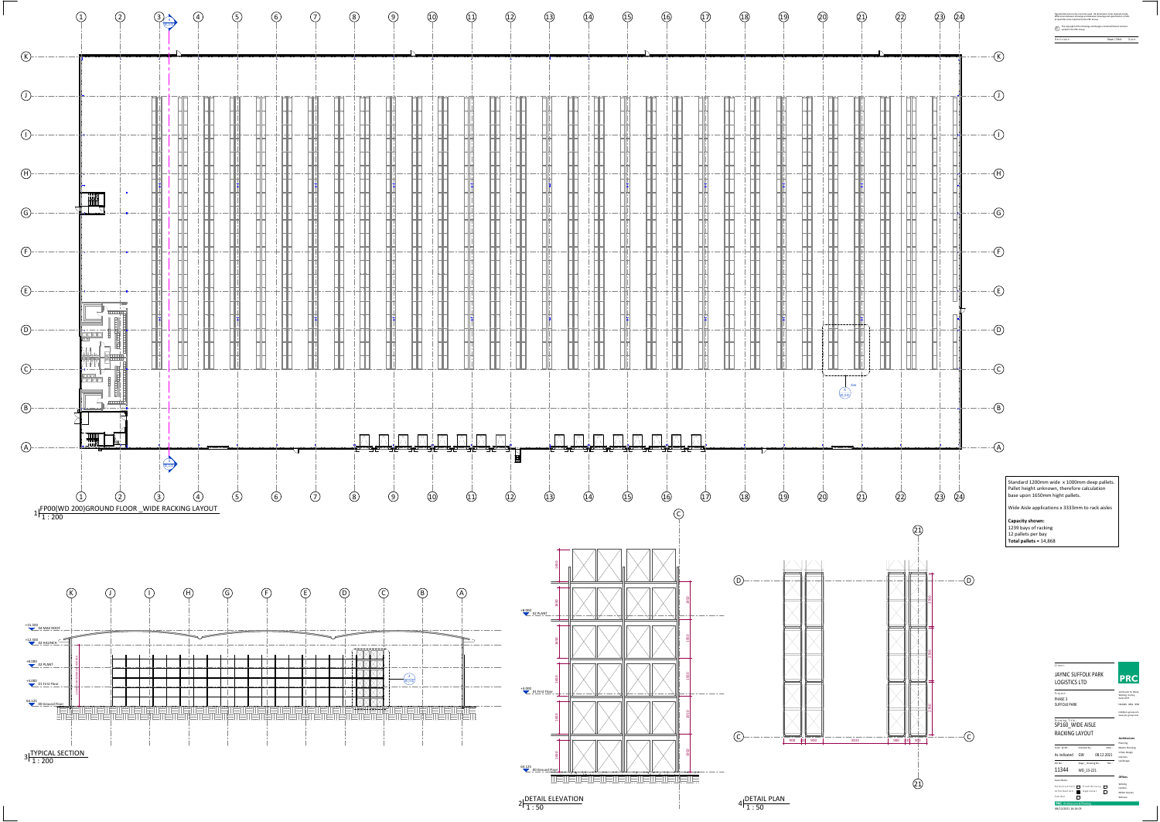| Figured dimensions only are to be used. All dimensions to be checked onsite.<br>Differences between drawings and between drawings and specification or bills<br>of quantites to be reported to the PRC Group. |               |       |
|---------------------------------------------------------------------------------------------------------------------------------------------------------------------------------------------------------------|---------------|-------|
| The copyright of the drawings and designs contained therein remains<br>vested in the PRC Group                                                                                                                |               |       |
| Revisions:                                                                                                                                                                                                    | Drawn / Chkd: | Date: |
|                                                                                                                                                                                                               |               |       |

#### D r a w in g Title : SP160\_WIDE AISLE RACKING LAYOUT

1 : 50  $2\frac{52}{150}$ 





24 Church St. West, Woking, Surrey, GU21 6HT 01483 494 350 info@prc‐group.com www.prc‐group.com

## C l i <sup>e</sup> <sup>n</sup> t : JAYNIC SUFFOLK PARK LOGISTICS LTD

P r o j <sup>e</sup> <sup>c</sup> t : PHASE 3 SUFFOLK PARK

| Scale $@$ AO :                     |           | Checked by:       |  | Date:      |  |
|------------------------------------|-----------|-------------------|--|------------|--|
| As indicated                       | GW        |                   |  | 08.12.2021 |  |
| Job No:                            |           | Stage Drawing No: |  | Rev :      |  |
| 11344                              | WD 13-221 |                   |  |            |  |
| <b>Issue Status:</b>               |           |                   |  |            |  |
| Construction                       |           | Preliminary       |  |            |  |
| Information                        |           | Approval          |  |            |  |
| Tender                             |           |                   |  |            |  |
| <b>PRC</b> Architecture & Planning |           |                   |  |            |  |
| 08/12/2021 16:16:03                |           |                   |  |            |  |



**Offices**Woking London

#### **Architecture** Urban Design Master Planning Planning Interiors Landscape

Milton Keynes Warsaw

1 : 50

# Standard 1200mm wide <sup>x</sup> 1000mm deep pallets. Pallet height unknown, therefore calculation base upon 1650mm hight pallets.

Wide Aisle applications <sup>x</sup> 3333mm to rack aisles

**Capacity shown:** 1239 bays of racking 12 pallets per bay **Total pallets <sup>=</sup>** 14,868